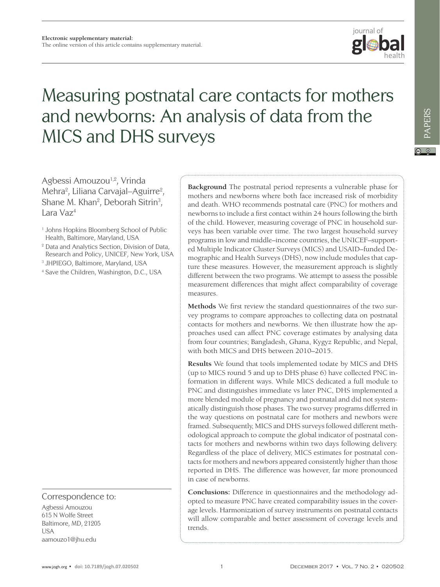

# Measuring postnatal care contacts for mothers and newborns: An analysis of data from the MICS and DHS surveys

Agbessi Amouzou<sup>1,2</sup>, Vrinda Mehra<sup>2</sup>, Liliana Carvajal–Aguirre<sup>2</sup>, Shane M. Khan<sup>2</sup>, Deborah Sitrin<sup>3</sup>, Lara Vaz<sup>4</sup>

- <sup>1</sup> Johns Hopkins Bloomberg School of Public Health, Baltimore, Maryland, USA
- <sup>2</sup> Data and Analytics Section, Division of Data, Research and Policy, UNICEF, New York, USA
- <sup>3</sup> JHPIEGO, Baltimore, Maryland, USA
- <sup>4</sup> Save the Children, Washington, D.C., USA

#### Correspondence to:

Agbessi Amouzou 615 N Wolfe Street Baltimore, MD, 21205 **I** ISA aamouzo1@jhu.edu

**Background** The postnatal period represents a vulnerable phase for mothers and newborns where both face increased risk of morbidity and death. WHO recommends postnatal care (PNC) for mothers and newborns to include a first contact within 24 hours following the birth of the child. However, measuring coverage of PNC in household surveys has been variable over time. The two largest household survey programs in low and middle–income countries, the UNICEF–supported Multiple Indicator Cluster Surveys (MICS) and USAID–funded Demographic and Health Surveys (DHS), now include modules that capture these measures. However, the measurement approach is slightly different between the two programs. We attempt to assess the possible measurement differences that might affect comparability of coverage measures.

**Methods** We first review the standard questionnaires of the two survey programs to compare approaches to collecting data on postnatal contacts for mothers and newborns. We then illustrate how the approaches used can affect PNC coverage estimates by analysing data from four countries; Bangladesh, Ghana, Kygyz Republic, and Nepal, with both MICS and DHS between 2010–2015.

**Results** We found that tools implemented todate by MICS and DHS (up to MICS round 5 and up to DHS phase 6) have collected PNC information in different ways. While MICS dedicated a full module to PNC and distinguishes immediate vs later PNC, DHS implemented a more blended module of pregnancy and postnatal and did not systematically distinguish those phases. The two survey programs differred in the way questions on postnatal care for mothers and newbors were framed. Subsequently, MICS and DHS surveys followed different methodological approach to compute the global indicator of postnatal contacts for mothers and newborns within two days following delivery. Regardless of the place of delivery, MICS estimates for postnatal contacts for mothers and newbors appeared consistently higher than those reported in DHS. The difference was however, far more pronounced in case of newborns.

**Conclusions:** Difference in questionnaires and the methodology adopted to measure PNC have created comparability issues in the coverage levels. Harmonization of survey instruments on postnatal contacts will allow comparable and better assessment of coverage levels and trends.

 $\boxed{6}$   $\boxed{0}$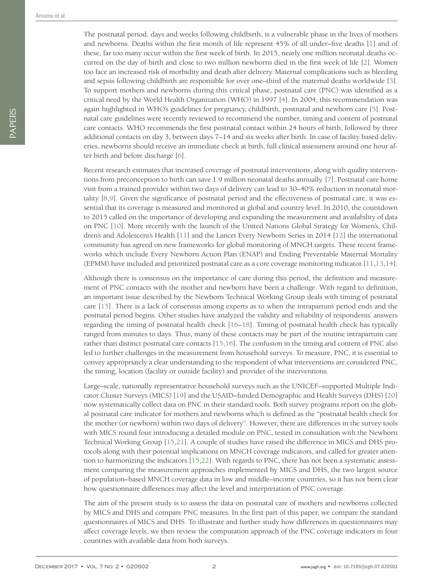The postnatal period, days and weeks following childbirth, is a vulnerable phase in the lives of mothers and newborns. Deaths within the first month of life represent 45% of all under–five deaths [[1](#page-9-0)] and of these, far too many occur within the first week of birth. In 2015, nearly one million neonatal deaths occurred on the day of birth and close to two million newborns died in the first week of life [\[2](#page-9-1)]. Women too face an increased risk of morbidity and death after delivery. Maternal complications such as bleeding and sepsis following childbirth are responsible for over one–third of the maternal deaths worldwide [[3](#page-9-2)]. To support mothers and newborns during this critical phase, postnatal care (PNC) was identified as a critical need by the World Health Organization (WHO) in 1997 [\[4](#page-9-2)]. In 2004, this recommendation was again highlighted in WHO's guidelines for pregnancy, childbirth, postnatal and newborn care [[5](#page-9-3)]. Postnatal care guidelines were recently reviewed to recommend the number, timing and content of postnatal care contacts. WHO recommends the first postnatal contact within 24 hours of birth, followed by three additional contacts on day 3, between days 7–14 and six weeks after birth. In case of facility based deliveries, newborns should receive an immediate check at birth, full clinical assessment around one hour after birth and before discharge [[6](#page-9-4)].

Recent research estimates that increased coverage of postnatal interventions, along with quality interventions from preconception to birth can save 1.9 million neonatal deaths annually. [\[7](#page-9-5)]. Postnatal care home visit from a trained provider within two days of delivery can lead to 30–40% reduction in neonatal mortality [[8,](#page-9-6)[9](#page-9-7)]. Given the significance of postnatal period and the effectiveness of postnatal care, it was essential that its coverage is measured and monitored at global and country level. In 2010, the countdown to 2015 called on the importance of developing and expanding the measurement and availability of data on PNC [\[10\]](#page-9-8). More recently with the launch of the United Nations Global Strategy for Women's, Children's and Adolescent's Health [[11](#page-9-9)] and the Lancet Every Newborn Series in 2014 [\[12](#page-9-10)] the international community has agreed on new frameworks for global monitoring of MNCH targets. These recent frameworks which include Every Newborn Action Plan (ENAP) and Ending Preventable Maternal Mortality (EPMM) have included and prioritized postnatal care as a core coverage monitoring indicator.[\[11](#page-9-9),[13](#page-9-11),[14](#page-9-12)].

Although there is consensus on the importance of care during this period, the definition and measurement of PNC contacts with the mother and newborn have been a challenge. With regard to definition, an important issue described by the Newborn Technical Working Group deals with timing of postnatal care [\[15](#page-9-13)]. There is a lack of consensus among experts as to when the intrapartum period ends and the postnatal period begins. Other studies have analyzed the validity and reliability of respondents' answers regarding the timing of postnatal health check [[16](#page-9-14)–[18](#page-9-15)]. Timing of postnatal health check has typically ranged from minutes to days. Thus, many of these contacts may be part of the routine intrapartum care rather than distinct postnatal care contacts [\[15](#page-9-13),[16](#page-9-14)]. The confusion in the timing and content of PNC also led to further challenges in the measurement from household surveys. To measure, PNC, it is essential to convey appropriately a clear understanding to the respondent of what interventions are considered PNC, the timing, location (facility or outside facility) and provider of the interventions.

Large–scale, nationally representative household surveys such as the UNICEF–supported Multiple Indicator Cluster Surveys (MICS) [\[19\]](#page-9-16) and the USAID–funded Demographic and Health Surveys (DHS) [\[20](#page-9-17)] now systematically collect data on PNC in their standard tools. Both survey programs report on the global postnatal care indicator for mothers and newborns which is defined as the "postnatal health check for the mother (or newborn) within two days of delivery". However, there are differences in the survey tools with MICS round four introducing a detailed module on PNC, tested in consultation with the Newborn Technical Working Group [\[15](#page-9-13),[21](#page-9-18)]. A couple of studies have raised the difference in MICS and DHS protocols along with their potential implications on MNCH coverage indicators, and called for greater attention to harmonizing the indicators [\[15](#page-9-13),[22](#page-9-19)]. With regards to PNC, there has not been a systematic assessment comparing the measurement approaches implemented by MICS and DHS, the two largest source of population–based MNCH coverage data in low and middle–income countries, so it has not been clear how questionnaire differences may affect the level and interpretation of PNC coverage.

The aim of the present study is to assess the data on postnatal care of mothers and newborns collected by MICS and DHS and compare PNC measures. In the first part of this paper, we compare the standard questionnaires of MICS and DHS. To illustrate and further study how differences in questionnaires may affect coverage levels, we then review the computation approach of the PNC coverage indicators in four countries with available data from both surveys.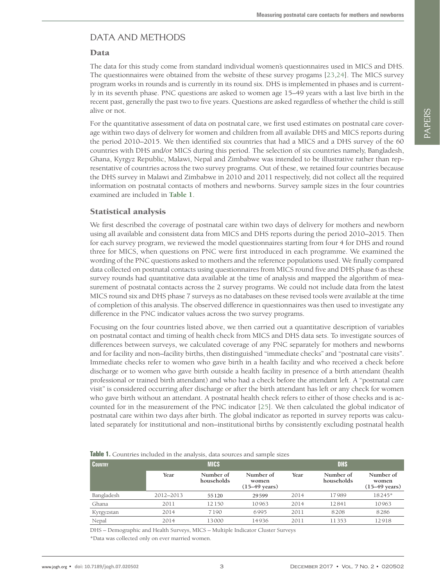## DATA AND METHODS

#### Data

The data for this study come from standard individual women's questionnaires used in MICS and DHS. The questionnaires were obtained from the website of these survey progams [\[23](#page-9-20),[24](#page-9-21)]. The MICS survey program works in rounds and is currently in its round six. DHS is implemented in phases and is currently in its seventh phase. PNC questions are asked to women age 15–49 years with a last live birth in the recent past, generally the past two to five years. Questions are asked regardless of whether the child is still alive or not.

For the quantitative assessment of data on postnatal care, we first used estimates on postnatal care coverage within two days of delivery for women and children from all available DHS and MICS reports during the period 2010–2015. We then identified six countries that had a MICS and a DHS survey of the 60 countries with DHS and/or MICS during this period. The selection of six countries namely, Bangladesh, Ghana, Kyrgyz Republic, Malawi, Nepal and Zimbabwe was intended to be illustrative rather than representative of countries across the two survey programs. Out of these, we retained four countries because the DHS survey in Malawi and Zimbabwe in 2010 and 2011 respectively, did not collect all the required information on postnatal contacts of mothers and newborns. Survey sample sizes in the four countries examined are included in **[Table 1](#page-2-0)**.

#### Statistical analysis

We first described the coverage of postnatal care within two days of delivery for mothers and newborn using all available and consistent data from MICS and DHS reports during the period 2010–2015. Then for each survey program, we reviewed the model questionnaires starting from four 4 for DHS and round three for MICS, when questions on PNC were first introduced in each programme. We examined the wording of the PNC questions asked to mothers and the reference populations used. We finally compared data collected on postnatal contacts using questionnaires from MICS round five and DHS phase 6 as these survey rounds had quantitative data available at the time of analysis and mapped the algorithm of measurement of postnatal contacts across the 2 survey programs. We could not include data from the latest MICS round six and DHS phase 7 surveys as no databases on these revised tools were available at the time of completion of this analysis. The observed difference in questionnaires was then used to investigate any difference in the PNC indicator values across the two survey programs.

Focusing on the four countries listed above, we then carried out a quantitative description of variables on postnatal contact and timing of health check from MICS and DHS data sets. To investigate sources of differences between surveys, we calculated coverage of any PNC separately for mothers and newborns and for facility and non–facility births, then distinguished "immediate checks" and "postnatal care visits". Immediate checks refer to women who gave birth in a health facility and who received a check before discharge or to women who gave birth outside a health facility in presence of a birth attendant (health professional or trained birth attendant) and who had a check before the attendant left. A "postnatal care visit" is considered occurring after discharge or after the birth attendant has left or any check for women who gave birth without an attendant. A postnatal health check refers to either of those checks and is accounted for in the measurement of the PNC indicator [[25](#page-9-22)]. We then calculated the global indicator of postnatal care within two days after birth. The global indicator as reported in survey reports was calculated separately for institutional and non–institutional births by consistently excluding postnatal health

<span id="page-2-0"></span>

|  |  |  |  |  | Table 1. Countries included in the analysis, data sources and sample sizes |  |
|--|--|--|--|--|----------------------------------------------------------------------------|--|
|  |  |  |  |  |                                                                            |  |

| <b>COUNTRY</b> |           | <b>MICS</b>             |                                               |      |                         |                                     |
|----------------|-----------|-------------------------|-----------------------------------------------|------|-------------------------|-------------------------------------|
|                | Year      | Number of<br>households | Number of<br>women<br>$(15-49 \text{ years})$ | Year | Number of<br>households | Number of<br>women<br>(15–49 years) |
| Bangladesh     | 2012-2013 | 55120                   | 29599                                         | 2014 | 17989                   | 18245*                              |
| Ghana          | 2011      | 12150                   | 10963                                         | 2014 | 12841                   | 10963                               |
| Kyrgyzstan     | 2014      | 7190                    | 6995                                          | 2011 | 8208                    | 8286                                |
| Nepal          | 2014      | 13000                   | 14936                                         | 2011 | 11353                   | 12918                               |

DHS – Demographic and Health Surveys, MICS – Multiple Indicator Cluster Surveys

\*Data was collected only on ever married women.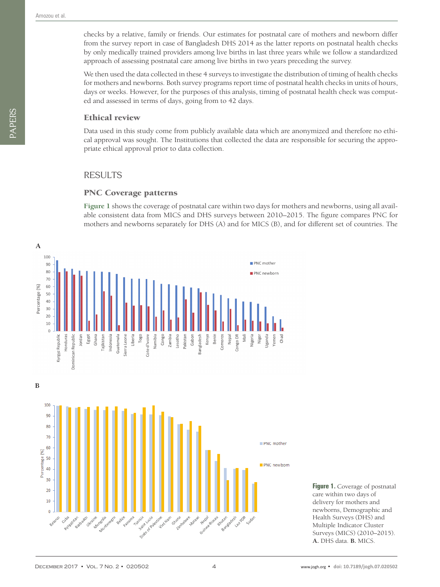checks by a relative, family or friends. Our estimates for postnatal care of mothers and newborn differ from the survey report in case of Bangladesh DHS 2014 as the latter reports on postnatal health checks by only medically trained providers among live births in last three years while we follow a standardized approach of assessing postnatal care among live births in two years preceding the survey.

We then used the data collected in these 4 surveys to investigate the distribution of timing of health checks for mothers and newborns. Both survey programs report time of postnatal health checks in units of hours, days or weeks. However, for the purposes of this analysis, timing of postnatal health check was computed and assessed in terms of days, going from to 42 days.

#### Ethical review

Data used in this study come from publicly available data which are anonymized and therefore no ethical approval was sought. The Institutions that collected the data are responsible for securing the appropriate ethical approval prior to data collection.

## RESULTS

#### PNC Coverage patterns

**[Figure 1](#page-2-0)** shows the coverage of postnatal care within two days for mothers and newborns, using all available consistent data from MICS and DHS surveys between 2010–2015. The figure compares PNC for mothers and newborns separately for DHS (A) and for MICS (B), and for different set of countries. The





**Figure 1.** Coverage of postnatal care within two days of delivery for mothers and newborns, Demographic and Health Surveys (DHS) and Multiple Indicator Cluster Surveys (MICS) (2010–2015). **A.** DHS data. **B.** MICS.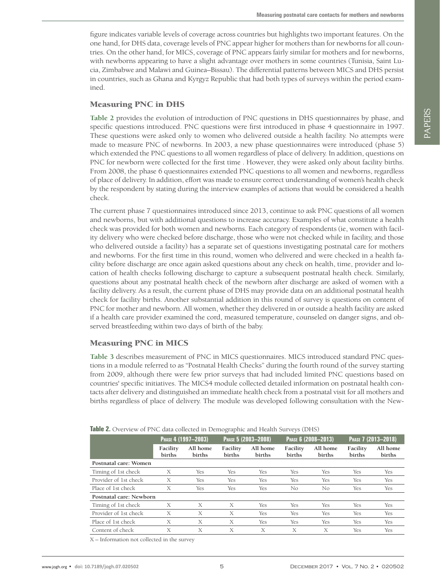figure indicates variable levels of coverage across countries but highlights two important features. On the one hand, for DHS data, coverage levels of PNC appear higher for mothers than for newborns for all countries. On the other hand, for MICS, coverage of PNC appears fairly similar for mothers and for newborns, with newborns appearing to have a slight advantage over mothers in some countries (Tunisia, Saint Lucia, Zimbabwe and Malawi and Guinea–Bissau). The differential patterns between MICS and DHS persist in countries, such as Ghana and Kyrgyz Republic that had both types of surveys within the period examined.

#### Measuring PNC in DHS

**[Table 2](#page-4-0)** provides the evolution of introduction of PNC questions in DHS questionnaires by phase, and specific questions introduced. PNC questions were first introduced in phase 4 questionnaire in 1997. These questions were asked only to women who delivered outside a health facility. No attempts were made to measure PNC of newborns. In 2003, a new phase questionnaires were introduced (phase 5) which extended the PNC questions to all women regardless of place of delivery. In addition, questions on PNC for newborn were collected for the first time . However, they were asked only about facility births. From 2008, the phase 6 questionnaires extended PNC questions to all women and newborns, regardless of place of delivery. In addition, effort was made to ensure correct understanding of women's health check by the respondent by stating during the interview examples of actions that would be considered a health check.

The current phase 7 questionnaires introduced since 2013, continue to ask PNC questions of all women and newborns, but with additional questions to increase accuracy. Examples of what constitute a health check was provided for both women and newborns. Each category of respondents (ie, women with facility delivery who were checked before discharge, those who were not checked while in facility, and those who delivered outside a facility) has a separate set of questions investigating postnatal care for mothers and newborns. For the first time in this round, women who delivered and were checked in a health facility before discharge are once again asked questions about any check on health, time, provider and location of health checks following discharge to capture a subsequent postnatal health check. Similarly, questions about any postnatal health check of the newborn after discharge are asked of women with a facility delivery. As a result, the current phase of DHS may provide data on an additional postnatal health check for facility births. Another substantial addition in this round of survey is questions on content of PNC for mother and newborn. All women, whether they delivered in or outside a health facility are asked if a health care provider examined the cord, measured temperature, counseled on danger signs, and observed breastfeeding within two days of birth of the baby.

### Measuring PNC in MICS

**[Table 3](#page-5-0)** describes measurement of PNC in MICS questionnaires. MICS introduced standard PNC questions in a module referred to as "Postnatal Health Checks" during the fourth round of the survey starting from 2009, although there were few prior surveys that had included limited PNC questions based on countries' specific initiatives. The MICS4 module collected detailed information on postnatal health contacts after delivery and distinguished an immediate health check from a postnatal visit for all mothers and births regardless of place of delivery. The module was developed following consultation with the New-

|                         | PHASE 4 (1997-2003) |                    |                    | PHASE 5 (2003-2008) |                    | PHASE 6 (2008-2013) |                    | PHASE 7 (2013-2018) |
|-------------------------|---------------------|--------------------|--------------------|---------------------|--------------------|---------------------|--------------------|---------------------|
|                         | Facility<br>births  | All home<br>births | Facility<br>births | All home<br>births  | Facility<br>births | All home<br>births  | Facility<br>births | All home<br>births  |
| Postnatal care: Women   |                     |                    |                    |                     |                    |                     |                    |                     |
| Timing of 1st check     | X                   | <b>Yes</b>         | Yes                | Yes                 | Yes                | Yes                 | Yes                | Yes                 |
| Provider of 1st check   | X                   | Yes                | Yes                | Yes                 | Yes                | Yes                 | Yes                | Yes                 |
| Place of 1st check      | X                   | Yes                | Yes                | Yes                 | No                 | No                  | Yes                | Yes                 |
| Postnatal care: Newborn |                     |                    |                    |                     |                    |                     |                    |                     |
| Timing of 1st check     | X                   | X                  | X                  | Yes                 | Yes                | Yes                 | <b>Yes</b>         | Yes                 |
| Provider of 1st check   | X                   | X                  | X                  | Yes                 | Yes                | Yes                 | Yes                | Yes                 |
| Place of 1st check      | X                   | X                  | X                  | Yes                 | Yes                | Yes                 | Yes                | Yes                 |
| Content of check        | X                   | X                  | X                  | X                   | X                  | X                   | Yes                | Yes                 |

<span id="page-4-0"></span>**Table 2.** Overview of PNC data collected in Demographic and Health Surveys (DHS)

X – Information not collected in the survey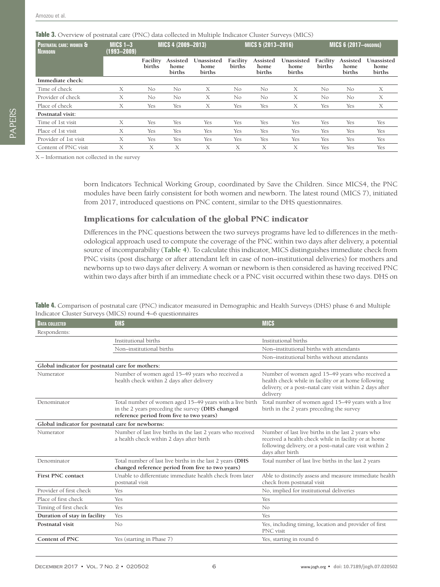#### <span id="page-5-0"></span>**Table 3.** Overview of postnatal care (PNC) data collected in Multiple Indicator Cluster Surveys (MICS)

| POSTNATAL CARE: WOMEN &<br><b>NEWBORN</b> | MICS 1–3<br>(1993–2009) |                    | MICS 4 (2009-2013)         |                              |                    | MICS 5 (2013-2016)         |                              | <b>MICS 6 (2017-ONGOING)</b> |                            |                              |
|-------------------------------------------|-------------------------|--------------------|----------------------------|------------------------------|--------------------|----------------------------|------------------------------|------------------------------|----------------------------|------------------------------|
|                                           |                         | Facility<br>births | Assisted<br>home<br>births | Unassisted<br>home<br>births | Facility<br>births | Assisted<br>home<br>births | Unassisted<br>home<br>births | Facility<br>births           | Assisted<br>home<br>births | Unassisted<br>home<br>births |
| Immediate check:                          |                         |                    |                            |                              |                    |                            |                              |                              |                            |                              |
| Time of check                             | X                       | No                 | No.                        | X                            | No                 | No                         | X                            | No                           | No                         | Χ                            |
| Provider of check                         | X                       | No                 | No                         | X                            | No                 | No.                        | Х                            | No                           | No                         | Χ                            |
| Place of check                            | X                       | Yes                | Yes                        | X                            | Yes                | Yes                        | X                            | Yes                          | Yes                        | Χ                            |
| Postnatal visit:                          |                         |                    |                            |                              |                    |                            |                              |                              |                            |                              |
| Time of 1st visit                         | Χ                       | Yes                | Yes                        | Yes                          | Yes                | <b>Yes</b>                 | Yes                          | <b>Yes</b>                   | Yes                        | Yes                          |
| Place of 1st visit                        | X                       | Yes                | Yes                        | Yes                          | Yes                | Yes                        | Yes                          | Yes                          | Yes                        | Yes                          |
| Provider of 1st visit                     | X                       | Yes                | Yes                        | Yes                          | Yes                | Yes                        | Yes                          | Yes                          | Yes                        | Yes                          |
| Content of PNC visit                      | X                       | X                  | X                          | X                            | X                  | X                          | X                            | <b>Yes</b>                   | <b>Yes</b>                 | Yes                          |

X – Information not collected in the survey

born Indicators Technical Working Group, coordinated by Save the Children. Since MICS4, the PNC modules have been fairly consistent for both women and newborn. The latest round (MICS 7), initiated from 2017, introduced questions on PNC content, similar to the DHS questionnaires.

#### Implications for calculation of the global PNC indicator

Differences in the PNC questions between the two surveys programs have led to differences in the methodological approach used to compute the coverage of the PNC within two days after delivery, a potential source of incomparability (**[Table 4](#page-5-1)**). To calculate this indicator, MICS distinguishes immediate check from PNC visits (post discharge or after attendant left in case of non–institutional deliveries) for mothers and newborns up to two days after delivery. A woman or newborn is then considered as having received PNC within two days after birth if an immediate check or a PNC visit occurred within these two days. DHS on

| <b>DATA COLLECTED</b>                             | <b>DHS</b>                                                                                                                                               | <b>MICS</b>                                                                                                                                                                               |
|---------------------------------------------------|----------------------------------------------------------------------------------------------------------------------------------------------------------|-------------------------------------------------------------------------------------------------------------------------------------------------------------------------------------------|
| Respondents:                                      |                                                                                                                                                          |                                                                                                                                                                                           |
|                                                   | Institutional births                                                                                                                                     | Institutional births                                                                                                                                                                      |
|                                                   | Non-institutional births                                                                                                                                 | Non-institutional births with attendants                                                                                                                                                  |
|                                                   |                                                                                                                                                          | Non-institutional births without attendants                                                                                                                                               |
| Global indicator for postnatal care for mothers:  |                                                                                                                                                          |                                                                                                                                                                                           |
| Numerator                                         | Number of women aged 15-49 years who received a<br>health check within 2 days after delivery                                                             | Number of women aged 15-49 years who received a<br>health check while in facility or at home following<br>delivery, or a post-natal care visit within 2 days after<br>delivery            |
| Denominator                                       | Total number of women aged 15-49 years with a live birth<br>in the 2 years preceding the survey (DHS changed<br>reference period from five to two years) | Total number of women aged 15-49 years with a live<br>birth in the 2 years preceding the survey                                                                                           |
| Global indicator for postnatal care for newborns: |                                                                                                                                                          |                                                                                                                                                                                           |
| Numerator                                         | Number of last live births in the last 2 years who received<br>a health check within 2 days after birth                                                  | Number of last live births in the last 2 years who<br>received a health check while in facility or at home<br>following delivery, or a post-natal care visit within 2<br>days after birth |
| Denominator                                       | Total number of last live births in the last 2 years (DHS<br>changed reference period from five to two years)                                            | Total number of last live births in the last 2 years                                                                                                                                      |
| <b>First PNC contact</b>                          | Unable to differentiate immediate health check from later<br>postnatal visit                                                                             | Able to distinctly assess and measure immediate health<br>check from postnatal visit                                                                                                      |
| Provider of first check                           | Yes                                                                                                                                                      | No, implied for institutional deliveries                                                                                                                                                  |
| Place of first check                              | Yes                                                                                                                                                      | Yes                                                                                                                                                                                       |
| Timing of first check                             | Yes                                                                                                                                                      | No                                                                                                                                                                                        |
| Duration of stay in facility                      | Yes                                                                                                                                                      | Yes                                                                                                                                                                                       |
| Postnatal visit                                   | No                                                                                                                                                       | Yes, including timing, location and provider of first<br>PNC visit                                                                                                                        |
| Content of PNC                                    | Yes (starting in Phase 7)                                                                                                                                | Yes, starting in round 6                                                                                                                                                                  |

<span id="page-5-1"></span>**Table 4.** Comparison of postnatal care (PNC) indicator measured in Demographic and Health Surveys (DHS) phase 6 and Multiple Indicator Cluster Surveys (MICS) round 4–6 questionnaires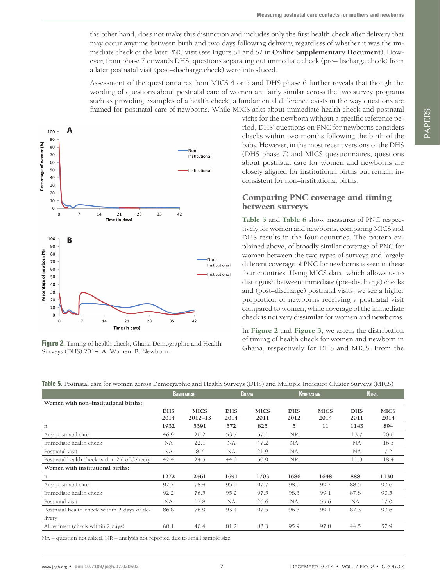the other hand, does not make this distinction and includes only the first health check after delivery that may occur anytime between birth and two days following delivery, regardless of whether it was the immediate check or the later PNC visit (see Figure S1 and S2 in **Online Supplementary Document**). However, from phase 7 onwards DHS, questions separating out immediate check (pre–discharge check) from a later postnatal visit (post–discharge check) were introduced.

Assessment of the questionnaires from MICS 4 or 5 and DHS phase 6 further reveals that though the wording of questions about postnatal care of women are fairly similar across the two survey programs such as providing examples of a health check, a fundamental difference exists in the way questions are framed for postnatal care of newborns. While MICS asks about immediate health check and postnatal

<span id="page-6-1"></span>

**Figure 2.** Timing of health check, Ghana Demographic and Health Surveys (DHS) 2014. **A.** Women. **B.** Newborn.

visits for the newborn without a specific reference period, DHS' questions on PNC for newborns considers checks within two months following the birth of the baby. However, in the most recent versions of the DHS (DHS phase 7) and MICS questionnaires, questions about postnatal care for women and newborns are closely aligned for institutional births but remain inconsistent for non–institutional births.

#### Comparing PNC coverage and timing between surveys

**[Table 5](#page-6-0)** and **[Table 6](#page-4-0)** show measures of PNC respectively for women and newborns, comparing MICS and DHS results in the four countries. The pattern explained above, of broadly similar coverage of PNC for women between the two types of surveys and largely different coverage of PNC for newborns is seen in these four countries. Using MICS data, which allows us to distinguish between immediate (pre–discharge) checks and (post–discharge) postnatal visits, we see a higher proportion of newborns receiving a postnatal visit compared to women, while coverage of the immediate check is not very dissimilar for women and newborns.

In **[Figure 2](#page-6-1)** and **[Figure 3](#page-7-0)**, we assess the distribution of timing of health check for women and newborn in Ghana, respectively for DHS and MICS. From the

<span id="page-6-0"></span>**Table 5.** Postnatal care for women across Demographic and Health Surveys (DHS) and Multiple Indicator Cluster Surveys (MICS)

|                                               | <b>BANGLADESH</b>  |                            | <b>GHANA</b>       |                     | <b>KYRGYZSTAN</b>  |                     | <b>NEPAL</b>       |                     |
|-----------------------------------------------|--------------------|----------------------------|--------------------|---------------------|--------------------|---------------------|--------------------|---------------------|
| Women with non-institutional births:          |                    |                            |                    |                     |                    |                     |                    |                     |
|                                               | <b>DHS</b><br>2014 | <b>MICS</b><br>$2012 - 13$ | <b>DHS</b><br>2014 | <b>MICS</b><br>2011 | <b>DHS</b><br>2012 | <b>MICS</b><br>2014 | <b>DHS</b><br>2011 | <b>MICS</b><br>2014 |
| n                                             | 1932               | 5391                       | 572                | 825                 | 5                  | 11                  | 1143               | 894                 |
| Any postnatal care                            | 46.9               | 26.2                       | 53.7               | 57.1                | NR                 |                     | 13.7               | 20.6                |
| Immediate health check                        | NA                 | 22.1                       | NA                 | 47.2                | NA                 |                     | NA                 | 16.3                |
| Postnatal visit                               | NA                 | 8.7                        | NA                 | 21.9                | NA.                |                     | NA                 | 7.2                 |
| Postnatal health check within 2 d of delivery | 42.4               | 24.5                       | 44.9               | 50.9                | <b>NR</b>          |                     | 11.3               | 18.4                |
| Women with institutional births:              |                    |                            |                    |                     |                    |                     |                    |                     |
| n                                             | 1272               | 2461                       | 1691               | 1703                | 1686               | 1648                | 888                | 1130                |
| Any postnatal care                            | 92.7               | 78.4                       | 95.9               | 97.7                | 98.5               | 99.2                | 88.5               | 90.6                |
| Immediate health check                        | 92.2               | 76.5                       | 95.2               | 97.5                | 98.3               | 99.1                | 87.8               | 90.5                |
| Postnatal visit                               | NA                 | 17.8                       | NA                 | 26.6                | NA                 | 55.6                | NA                 | 17.0                |
| Postnatal health check within 2 days of de-   | 86.8               | 76.9                       | 93.4               | 97.5                | 96.3               | 99.1                | 87.3               | 90.6                |
| livery                                        |                    |                            |                    |                     |                    |                     |                    |                     |
| All women (check within 2 days)               | 60.1               | 40.4                       | 81.2               | 82.3                | 95.9               | 97.8                | 44.5               | 57.9                |

NA – question not asked, NR – analysis not reported due to small sample size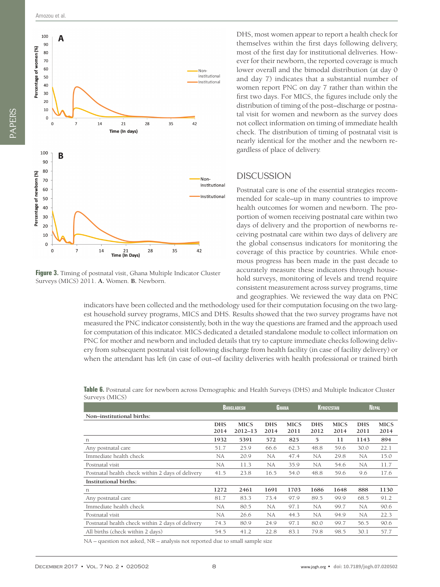<span id="page-7-0"></span>



**Figure 3.** Timing of postnatal visit, Ghana Multiple Indicator Cluster Surveys (MICS) 2011. **A.** Women. **B.** Newborn.

DHS, most women appear to report a health check for themselves within the first days following delivery, most of the first day for institutional deliveries. However for their newborn, the reported coverage is much lower overall and the bimodal distribution (at day 0 and day 7) indicates that a substantial number of women report PNC on day 7 rather than within the first two days. For MICS, the figures include only the distribution of timing of the post–discharge or postnatal visit for women and newborn as the survey does not collect information on timing of immediate health check. The distribution of timing of postnatal visit is nearly identical for the mother and the newborn regardless of place of delivery.

## **DISCUSSION**

Postnatal care is one of the essential strategies recommended for scale–up in many countries to improve health outcomes for women and newborn. The proportion of women receiving postnatal care within two days of delivery and the proportion of newborns receiving postnatal care within two days of delivery are the global consensus indicators for monitoring the coverage of this practice by countries. While enormous progress has been made in the past decade to accurately measure these indicators through household surveys, monitoring of levels and trend require consistent measurement across survey programs, time and geographies. We reviewed the way data on PNC

indicators have been collected and the methodology used for their computation focusing on the two largest household survey programs, MICS and DHS. Results showed that the two survey programs have not measured the PNC indicator consistently, both in the way the questions are framed and the approach used for computation of this indicator. MICS dedicated a detailed standalone module to collect information on PNC for mother and newborn and included details that try to capture immediate checks following delivery from subsequent postnatal visit following discharge from health facility (in case of facility delivery) or when the attendant has left (in case of out–of facility deliveries with health professional or trained birth

|                                                  |                    | <b>BANGLADESH</b>          |                    | <b>GHANA</b>        |                    | KYRGYZSTAN          |                    | <b>NEPAL</b>        |
|--------------------------------------------------|--------------------|----------------------------|--------------------|---------------------|--------------------|---------------------|--------------------|---------------------|
| Non-institutional births:                        |                    |                            |                    |                     |                    |                     |                    |                     |
|                                                  | <b>DHS</b><br>2014 | <b>MICS</b><br>$2012 - 13$ | <b>DHS</b><br>2014 | <b>MICS</b><br>2011 | <b>DHS</b><br>2012 | <b>MICS</b><br>2014 | <b>DHS</b><br>2011 | <b>MICS</b><br>2014 |
| n                                                | 1932               | 5391                       | 572                | 825                 | 5                  | 11                  | 1143               | 894                 |
| Any postnatal care                               | 51.7               | 25.9                       | 66.6               | 62.3                | 48.8               | 59.6                | 30.0               | 22.1                |
| Immediate health check                           | NA                 | 20.9                       | NA                 | 47.4                | NA                 | 29.8                | NA                 | 15.0                |
| Postnatal visit                                  | NA                 | 11.3                       | NA                 | 35.9                | NA                 | 54.6                | NA                 | 11.7                |
| Postnatal health check within 2 days of delivery | 41.5               | 23.8                       | 16.5               | 54.0                | 48.8               | 59.6                | 9.6                | 17.6                |
| Institutional births:                            |                    |                            |                    |                     |                    |                     |                    |                     |
| n                                                | 1272               | 2461                       | 1691               | 1703                | 1686               | 1648                | 888                | 1130                |
| Any postnatal care                               | 81.7               | 83.3                       | 73.4               | 97.9                | 89.5               | 99.9                | 68.5               | 91.2                |
| Immediate health check                           | NA                 | 80.5                       | NA                 | 97.1                | NA                 | 99.7                | NA                 | 90.6                |
| Postnatal visit                                  | NA                 | 26.6                       | NA                 | 44.3                | NA                 | 94.9                | NA                 | 22.3                |
| Postnatal health check within 2 days of delivery | 74.3               | 80.9                       | 24.9               | 97.1                | 80.0               | 99.7                | 56.5               | 90.6                |
| All births (check within 2 days)                 | 54.5               | 41.2                       | 22.8               | 83.1                | 79.8               | 98.5                | 30.1               | 57.7                |
|                                                  |                    |                            |                    |                     |                    |                     |                    |                     |

**Table 6.** Postnatal care for newborn across Demographic and Health Surveys (DHS) and Multiple Indicator Cluster Surveys (MICS)

NA – question not asked, NR – analysis not reported due to small sample size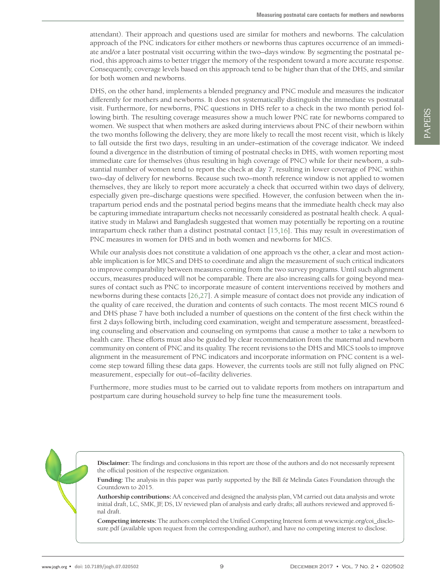attendant). Their approach and questions used are similar for mothers and newborns. The calculation approach of the PNC indicators for either mothers or newborns thus captures occurrence of an immediate and/or a later postnatal visit occurring within the two–days window. By segmenting the postnatal period, this approach aims to better trigger the memory of the respondent toward a more accurate response. Consequently, coverage levels based on this approach tend to be higher than that of the DHS, and similar for both women and newborns.

DHS, on the other hand, implements a blended pregnancy and PNC module and measures the indicator differently for mothers and newborns. It does not systematically distinguish the immediate vs postnatal visit. Furthermore, for newborns, PNC questions in DHS refer to a check in the two month period following birth. The resulting coverage measures show a much lower PNC rate for newborns compared to women. We suspect that when mothers are asked during interviews about PNC of their newborn within the two months following the delivery, they are more likely to recall the most recent visit, which is likely to fall outside the first two days, resulting in an under–estimation of the coverage indicator. We indeed found a divergence in the distribution of timing of postnatal checks in DHS, with women reporting most immediate care for themselves (thus resulting in high coverage of PNC) while for their newborn, a substantial number of women tend to report the check at day 7, resulting in lower coverage of PNC within two–day of delivery for newborns. Because such two–month reference window is not applied to women themselves, they are likely to report more accurately a check that occurred within two days of delivery, especially given pre–discharge questions were specified. However, the confusion between when the intrapartum period ends and the postnatal period begins means that the immediate health check may also be capturing immediate intrapartum checks not necessarily considered as postnatal health check. A qualitative study in Malawi and Bangladesh suggested that women may potentially be reporting on a routine intrapartum check rather than a distinct postnatal contact [[15](#page-9-13),[16](#page-9-14)]. This may result in overestimation of PNC measures in women for DHS and in both women and newborns for MICS.

While our analysis does not constitute a validation of one approach vs the other, a clear and most actionable implication is for MICS and DHS to coordinate and align the measurement of such critical indicators to improve comparability between measures coming from the two survey programs. Until such alignment occurs, measures produced will not be comparable. There are also increasing calls for going beyond measures of contact such as PNC to incorporate measure of content interventions received by mothers and newborns during these contacts [[26](#page-9-23),[27\]](#page-9-24). A simple measure of contact does not provide any indication of the quality of care received, the duration and contents of such contacts. The most recent MICS round 6 and DHS phase 7 have both included a number of questions on the content of the first check within the first 2 days following birth, including cord examination, weight and temperature assessment, breastfeeding counseling and observation and counseling on symtpoms that cause a mother to take a newborn to health care. These efforts must also be guided by clear recommendation from the maternal and newborn community on content of PNC and its quality. The recent revisions to the DHS and MICS tools to improve alignment in the measurement of PNC indicators and incorporate information on PNC content is a welcome step toward filling these data gaps. However, the currents tools are still not fully aligned on PNC measurement, especially for out–of–facility deliveries.

Furthermore, more studies must to be carried out to validate reports from mothers on intrapartum and postpartum care during household survey to help fine tune the measurement tools.

**Disclaimer:** The findings and conclusions in this report are those of the authors and do not necessarily represent the official position of the respective organization.

**Funding:** The analysis in this paper was partly supported by the Bill & Melinda Gates Foundation through the Countdown to 2015.

**Authorship contributions:** AA conceived and designed the analysis plan, VM carried out data analysis and wrote initial draft, LC, SMK, JF, DS, LV reviewed plan of analysis and early drafts; all authors reviewed and approved final draft.

**Competing interests:** The authors completed the Unified Competing Interest form at www.icmje.org/coi\_disclosure.pdf (available upon request from the corresponding author), and have no competing interest to disclose.